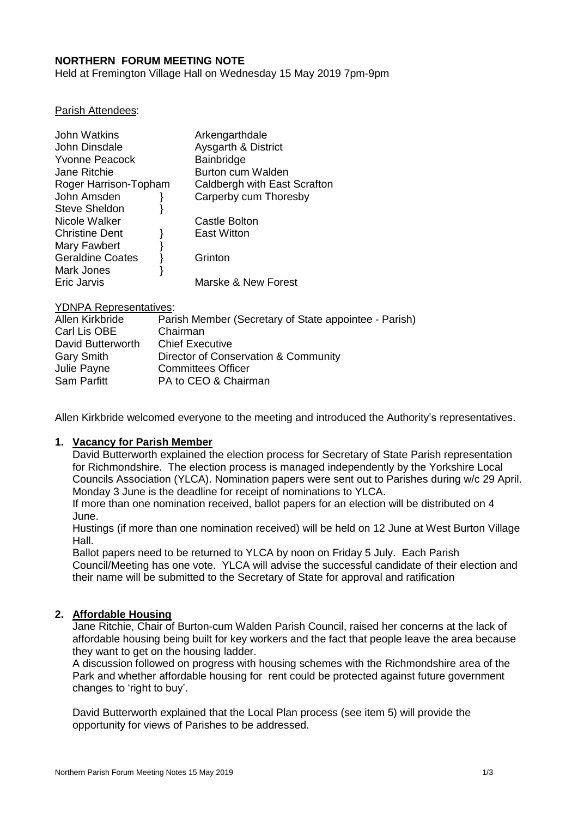## **NORTHERN FORUM MEETING NOTE**

Held at Fremington Village Hall on Wednesday 15 May 2019 7pm-9pm

#### Parish Attendees:

| John Watkins            | Arkengarthdale                 |
|-------------------------|--------------------------------|
| John Dinsdale           | <b>Aysgarth &amp; District</b> |
| <b>Yvonne Peacock</b>   | Bainbridge                     |
| Jane Ritchie            | <b>Burton cum Walden</b>       |
| Roger Harrison-Topham   | Caldbergh with East Scrafton   |
| John Amsden             | Carperby cum Thoresby          |
| <b>Steve Sheldon</b>    |                                |
| Nicole Walker           | <b>Castle Bolton</b>           |
| <b>Christine Dent</b>   | <b>East Witton</b>             |
| Mary Fawbert            |                                |
| <b>Geraldine Coates</b> | Grinton                        |
| Mark Jones              |                                |
| Eric Jarvis             | Marske & New Forest            |

#### YDNPA Representatives:

| Allen Kirkbride   | Parish Member (Secretary of State appointee - Parish) |
|-------------------|-------------------------------------------------------|
| Carl Lis OBE      | Chairman                                              |
| David Butterworth | <b>Chief Executive</b>                                |
| <b>Gary Smith</b> | Director of Conservation & Community                  |
| Julie Payne       | <b>Committees Officer</b>                             |
| Sam Parfitt       | PA to CEO & Chairman                                  |

Allen Kirkbride welcomed everyone to the meeting and introduced the Authority's representatives.

#### **1. Vacancy for Parish Member**

David Butterworth explained the election process for Secretary of State Parish representation for Richmondshire. The election process is managed independently by the Yorkshire Local Councils Association (YLCA). Nomination papers were sent out to Parishes during w/c 29 April. Monday 3 June is the deadline for receipt of nominations to YLCA.

If more than one nomination received, ballot papers for an election will be distributed on 4 June.

Hustings (if more than one nomination received) will be held on 12 June at West Burton Village Hall.

Ballot papers need to be returned to YLCA by noon on Friday 5 July. Each Parish Council/Meeting has one vote. YLCA will advise the successful candidate of their election and their name will be submitted to the Secretary of State for approval and ratification

### **2. Affordable Housing**

Jane Ritchie, Chair of Burton-cum Walden Parish Council, raised her concerns at the lack of affordable housing being built for key workers and the fact that people leave the area because they want to get on the housing ladder.

A discussion followed on progress with housing schemes with the Richmondshire area of the Park and whether affordable housing for rent could be protected against future government changes to 'right to buy'.

David Butterworth explained that the Local Plan process (see item 5) will provide the opportunity for views of Parishes to be addressed.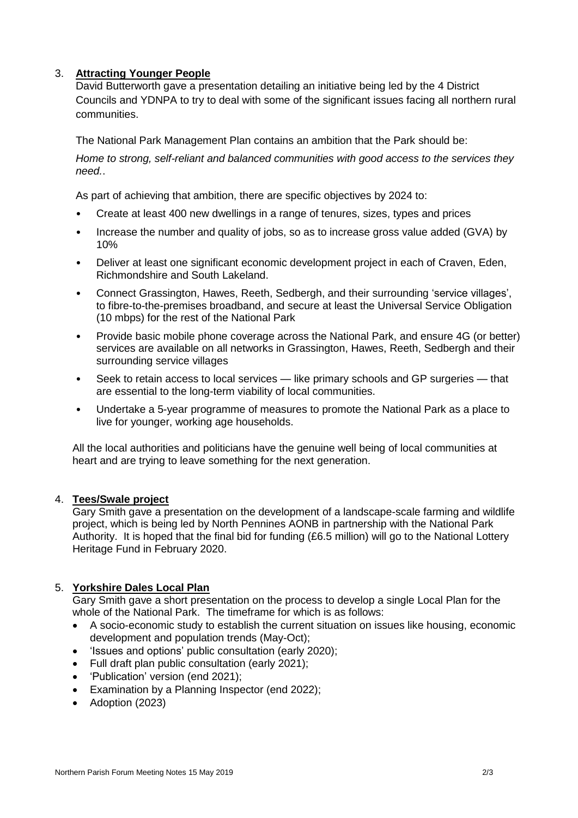# 3. **Attracting Younger People**

David Butterworth gave a presentation detailing an initiative being led by the 4 District Councils and YDNPA to try to deal with some of the significant issues facing all northern rural communities.

The National Park Management Plan contains an ambition that the Park should be:

*Home to strong, self-reliant and balanced communities with good access to the services they need.*.

As part of achieving that ambition, there are specific objectives by 2024 to:

- Create at least 400 new dwellings in a range of tenures, sizes, types and prices
- Increase the number and quality of jobs, so as to increase gross value added (GVA) by 10%
- Deliver at least one significant economic development project in each of Craven, Eden, Richmondshire and South Lakeland.
- Connect Grassington, Hawes, Reeth, Sedbergh, and their surrounding 'service villages', to fibre-to-the-premises broadband, and secure at least the Universal Service Obligation (10 mbps) for the rest of the National Park
- Provide basic mobile phone coverage across the National Park, and ensure 4G (or better) services are available on all networks in Grassington, Hawes, Reeth, Sedbergh and their surrounding service villages
- Seek to retain access to local services like primary schools and GP surgeries that are essential to the long-term viability of local communities.
- Undertake a 5-year programme of measures to promote the National Park as a place to live for younger, working age households.

All the local authorities and politicians have the genuine well being of local communities at heart and are trying to leave something for the next generation.

## 4. **Tees/Swale project**

Gary Smith gave a presentation on the development of a landscape-scale farming and wildlife project, which is being led by North Pennines AONB in partnership with the National Park Authority. It is hoped that the final bid for funding (£6.5 million) will go to the National Lottery Heritage Fund in February 2020.

## 5. **Yorkshire Dales Local Plan**

Gary Smith gave a short presentation on the process to develop a single Local Plan for the whole of the National Park. The timeframe for which is as follows:

- A socio-economic study to establish the current situation on issues like housing, economic development and population trends (May-Oct);
- 'Issues and options' public consultation (early 2020);
- Full draft plan public consultation (early 2021);
- 'Publication' version (end 2021);
- Examination by a Planning Inspector (end 2022);
- Adoption (2023)